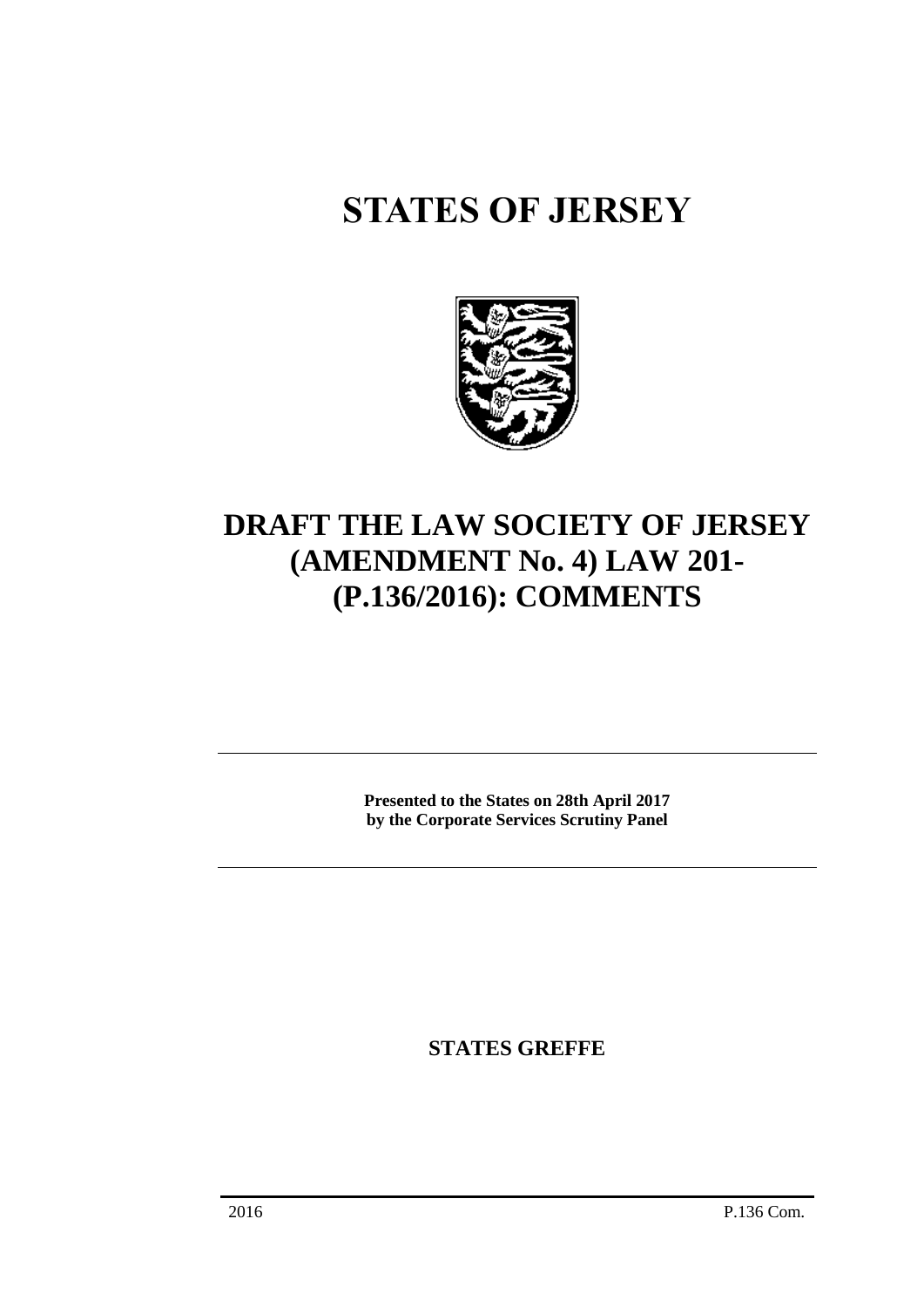# **STATES OF JERSEY**



# **DRAFT THE LAW SOCIETY OF JERSEY (AMENDMENT No. 4) LAW 201- (P.136/2016): COMMENTS**

**Presented to the States on 28th April 2017 by the Corporate Services Scrutiny Panel**

**STATES GREFFE**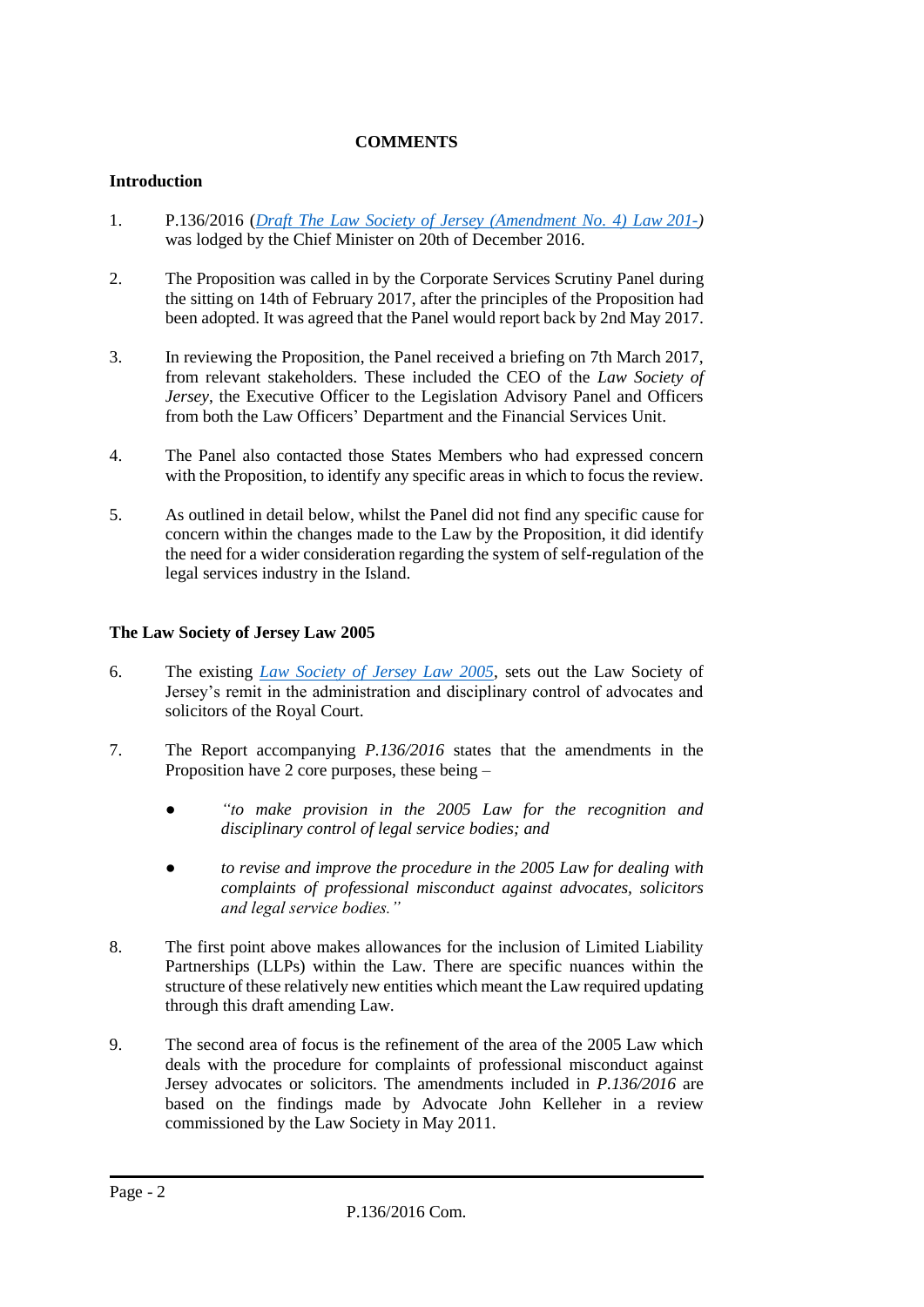## **COMMENTS**

#### **Introduction**

- 1. P.136/2016 (*[Draft The Law Society of Jersey \(Amendment No.](http://www.statesassembly.gov.je/AssemblyPropositions/2016/P.136-2016.pdf) 4) Law 201-)* was lodged by the Chief Minister on 20th of December 2016.
- 2. The Proposition was called in by the Corporate Services Scrutiny Panel during the sitting on 14th of February 2017, after the principles of the Proposition had been adopted. It was agreed that the Panel would report back by 2nd May 2017.
- 3. In reviewing the Proposition, the Panel received a briefing on 7th March 2017, from relevant stakeholders. These included the CEO of the *Law Society of Jersey*, the Executive Officer to the Legislation Advisory Panel and Officers from both the Law Officers' Department and the Financial Services Unit.
- 4. The Panel also contacted those States Members who had expressed concern with the Proposition, to identify any specific areas in which to focus the review.
- 5. As outlined in detail below, whilst the Panel did not find any specific cause for concern within the changes made to the Law by the Proposition, it did identify the need for a wider consideration regarding the system of self-regulation of the legal services industry in the Island.

#### **The Law Society of Jersey Law 2005**

- 6. The existing *[Law Society of Jersey Law 2005](https://www.jerseylaw.je/laws/revised/Pages/07.570.aspx)*, sets out the Law Society of Jersey's remit in the administration and disciplinary control of advocates and solicitors of the Royal Court.
- 7. The Report accompanying *P.136/2016* states that the amendments in the Proposition have 2 core purposes, these being –
	- *● "to make provision in the 2005 Law for the recognition and disciplinary control of legal service bodies; and*
	- *● to revise and improve the procedure in the 2005 Law for dealing with complaints of professional misconduct against advocates, solicitors and legal service bodies."*
- 8. The first point above makes allowances for the inclusion of Limited Liability Partnerships (LLPs) within the Law. There are specific nuances within the structure of these relatively new entities which meant the Law required updating through this draft amending Law.
- 9. The second area of focus is the refinement of the area of the 2005 Law which deals with the procedure for complaints of professional misconduct against Jersey advocates or solicitors. The amendments included in *P.136/2016* are based on the findings made by Advocate John Kelleher in a review commissioned by the Law Society in May 2011.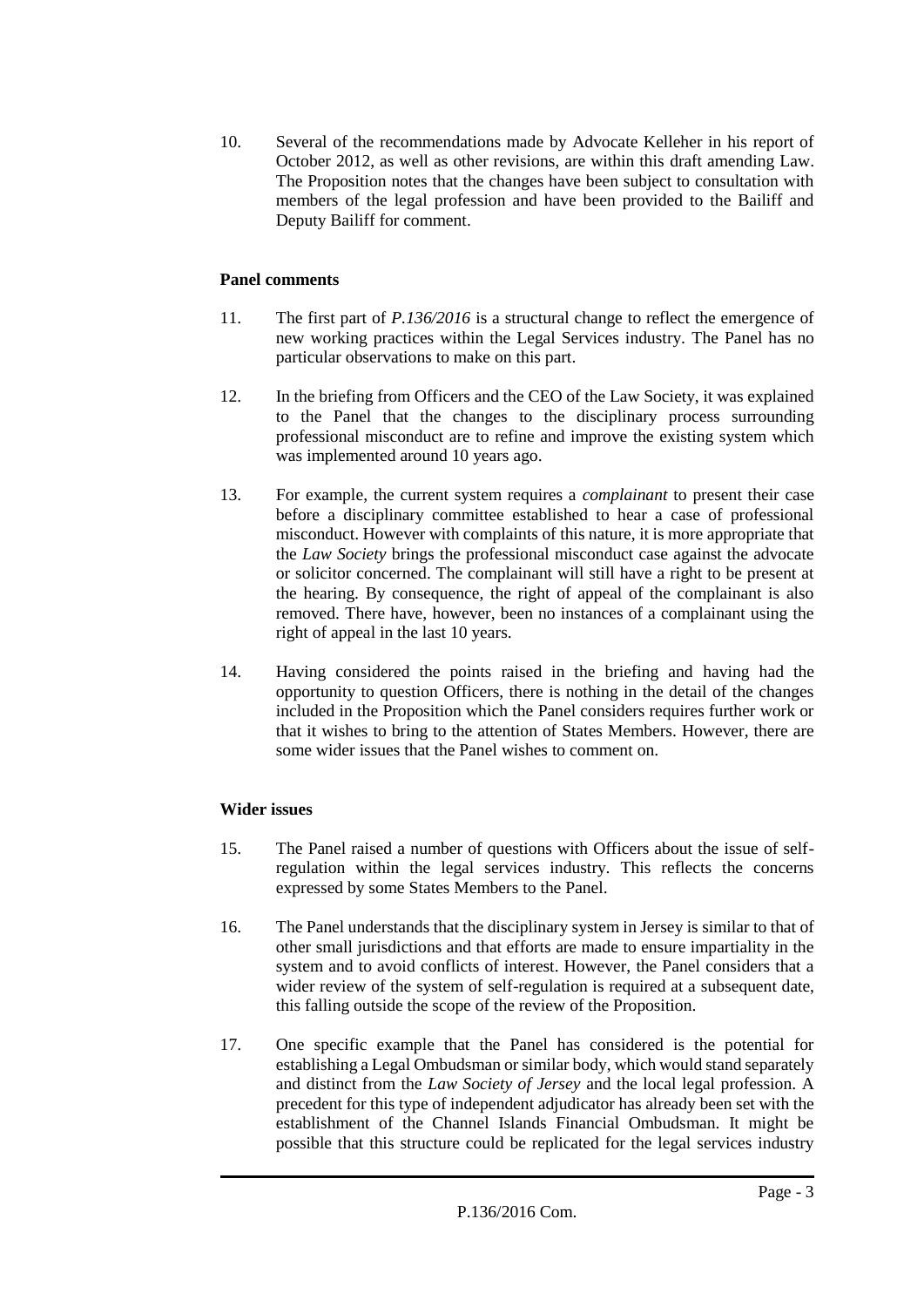10. Several of the recommendations made by Advocate Kelleher in his report of October 2012, as well as other revisions, are within this draft amending Law. The Proposition notes that the changes have been subject to consultation with members of the legal profession and have been provided to the Bailiff and Deputy Bailiff for comment.

### **Panel comments**

- 11. The first part of *P.136/2016* is a structural change to reflect the emergence of new working practices within the Legal Services industry*.* The Panel has no particular observations to make on this part.
- 12. In the briefing from Officers and the CEO of the Law Society, it was explained to the Panel that the changes to the disciplinary process surrounding professional misconduct are to refine and improve the existing system which was implemented around 10 years ago.
- 13. For example, the current system requires a *complainant* to present their case before a disciplinary committee established to hear a case of professional misconduct. However with complaints of this nature, it is more appropriate that the *Law Society* brings the professional misconduct case against the advocate or solicitor concerned. The complainant will still have a right to be present at the hearing. By consequence, the right of appeal of the complainant is also removed. There have, however, been no instances of a complainant using the right of appeal in the last 10 years.
- 14. Having considered the points raised in the briefing and having had the opportunity to question Officers, there is nothing in the detail of the changes included in the Proposition which the Panel considers requires further work or that it wishes to bring to the attention of States Members. However, there are some wider issues that the Panel wishes to comment on.

# **Wider issues**

- 15. The Panel raised a number of questions with Officers about the issue of selfregulation within the legal services industry. This reflects the concerns expressed by some States Members to the Panel.
- 16. The Panel understands that the disciplinary system in Jersey is similar to that of other small jurisdictions and that efforts are made to ensure impartiality in the system and to avoid conflicts of interest. However, the Panel considers that a wider review of the system of self-regulation is required at a subsequent date, this falling outside the scope of the review of the Proposition.
- 17. One specific example that the Panel has considered is the potential for establishing a Legal Ombudsman or similar body, which would stand separately and distinct from the *Law Society of Jersey* and the local legal profession. A precedent for this type of independent adjudicator has already been set with the establishment of the Channel Islands Financial Ombudsman. It might be possible that this structure could be replicated for the legal services industry